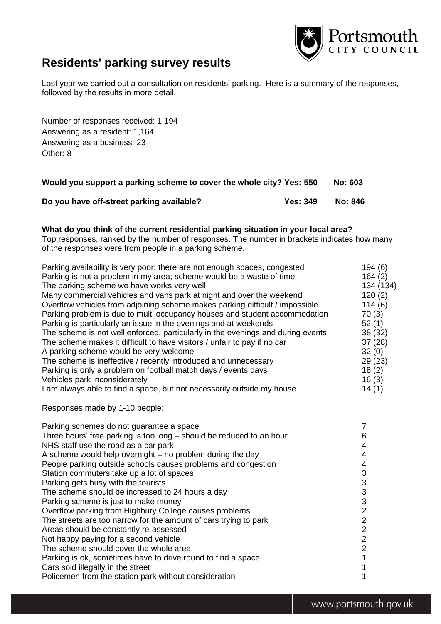

# **Residents' parking survey results**

Last year we carried out a consultation on residents' parking. Here is a summary of the responses, followed by the results in more detail.

Number of responses received: 1,194 Answering as a resident: 1,164 Answering as a business: 23 Other: 8

| Would you support a parking scheme to cover the whole city? Yes: 550 |                 | No: 603 |
|----------------------------------------------------------------------|-----------------|---------|
| Do you have off-street parking available?                            | <b>Yes: 349</b> | No: 846 |

### **What do you think of the current residential parking situation in your local area?**

Top responses, ranked by the number of responses. The number in brackets indicates how many of the responses were from people in a parking scheme.

| Parking availability is very poor; there are not enough spaces, congested       | 194(6)    |
|---------------------------------------------------------------------------------|-----------|
| Parking is not a problem in my area; scheme would be a waste of time            | 164(2)    |
| The parking scheme we have works very well                                      | 134 (134) |
| Many commercial vehicles and vans park at night and over the weekend            | 120(2)    |
| Overflow vehicles from adjoining scheme makes parking difficult / impossible    | 114(6)    |
| Parking problem is due to multi occupancy houses and student accommodation      | 70(3)     |
| Parking is particularly an issue in the evenings and at weekends                | 52(1)     |
| The scheme is not well enforced, particularly in the evenings and during events | 38(32)    |
| The scheme makes it difficult to have visitors / unfair to pay if no car        | 37(28)    |
| A parking scheme would be very welcome                                          | 32(0)     |
| The scheme is ineffective / recently introduced and unnecessary                 | 29(23)    |
| Parking is only a problem on football match days / events days                  | 18(2)     |
| Vehicles park inconsiderately                                                   | 16(3)     |
| I am always able to find a space, but not necessarily outside my house          | 14(1)     |
| Responses made by 1-10 people:                                                  |           |
| Parking schemes do not guarantee a space                                        | 7         |
| Three hours' free parking is too long – should be reduced to an hour            | 6         |
| NHS staff use the road as a car park                                            | 4         |
| A scheme would help overnight – no problem during the day                       | 4         |
| People parking outside schools causes problems and congestion                   | 4         |
| Station commuters take up a lot of spaces                                       | 3         |
| Parking gets busy with the tourists                                             | 3         |

The scheme should be increased to 24 hours a day 3

Parking scheme is just to make money 3

Overflow parking from Highbury College causes problems<br>
The streets are too narrow for the amount of cars trying to park<br>
2 The streets are too narrow for the amount of cars trying to park 2<br>Areas should be constantly re-assessed 2 Areas should be constantly re-assessed<br>
Not happy paying for a second vehicle<br>
2 Not happy paying for a second vehicle<br>
The scheme should cover the whole area<br>
2

The scheme should cover the whole area Parking is ok, sometimes have to drive round to find a space 1 Cars sold illegally in the street 1

Policemen from the station park without consideration 1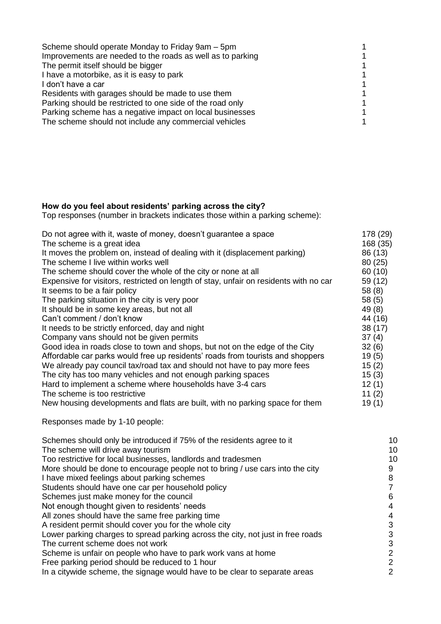| Scheme should operate Monday to Friday 9am - 5pm           |  |
|------------------------------------------------------------|--|
| Improvements are needed to the roads as well as to parking |  |
| The permit itself should be bigger                         |  |
| I have a motorbike, as it is easy to park                  |  |
| I don't have a car                                         |  |
| Residents with garages should be made to use them          |  |
| Parking should be restricted to one side of the road only  |  |
| Parking scheme has a negative impact on local businesses   |  |
| The scheme should not include any commercial vehicles      |  |

## **How do you feel about residents' parking across the city?**

Top responses (number in brackets indicates those within a parking scheme):

| Do not agree with it, waste of money, doesn't guarantee a space                       | 178 (29)       |
|---------------------------------------------------------------------------------------|----------------|
| The scheme is a great idea                                                            | 168 (35)       |
| It moves the problem on, instead of dealing with it (displacement parking)            | 86 (13)        |
| The scheme I live within works well                                                   | 80(25)         |
| The scheme should cover the whole of the city or none at all                          | 60 (10)        |
| Expensive for visitors, restricted on length of stay, unfair on residents with no car | 59 (12)        |
| It seems to be a fair policy                                                          | 58 (8)         |
| The parking situation in the city is very poor                                        | 58(5)          |
| It should be in some key areas, but not all                                           | 49 (8)         |
| Can't comment / don't know                                                            | 44 (16)        |
| It needs to be strictly enforced, day and night                                       | 38(17)         |
| Company vans should not be given permits                                              | 37(4)          |
| Good idea in roads close to town and shops, but not on the edge of the City           | 32(6)          |
| Affordable car parks would free up residents' roads from tourists and shoppers        | 19(5)          |
| We already pay council tax/road tax and should not have to pay more fees              | 15(2)          |
| The city has too many vehicles and not enough parking spaces                          | 15(3)          |
| Hard to implement a scheme where households have 3-4 cars                             | 12(1)          |
| The scheme is too restrictive                                                         | 11 $(2)$       |
| New housing developments and flats are built, with no parking space for them          | 19(1)          |
| Responses made by 1-10 people:                                                        |                |
| Schemes should only be introduced if 75% of the residents agree to it                 | 10             |
| The scheme will drive away tourism                                                    | 10             |
| Too restrictive for local businesses, landlords and tradesmen                         | 10             |
| More should be done to encourage people not to bring / use cars into the city         | 9              |
| I have mixed feelings about parking schemes                                           | $\bf 8$        |
| Students should have one car per household policy                                     | $\overline{7}$ |

Schemes just make money for the council 6

Not enough thought given to residents' needs<br>All zones should have the same free parking time<br>4 All zones should have the same free parking time A resident permit should cover you for the whole city<br>
Lower parking charges to spread parking across the city, not just in free roads 3 Lower parking charges to spread parking across the city, not just in free roads 3<br>The current scheme does not work The current scheme does not work<br>
Scheme is unfair on people who have to park work vans at home<br>
2 Scheme is unfair on people who have to park work vans at home<br>
Free parking period should be reduced to 1 hour<br>
2

Free parking period should be reduced to 1 hour<br>In a citywide scheme, the signage would have to be clear to separate areas 2 In a citywide scheme, the signage would have to be clear to separate areas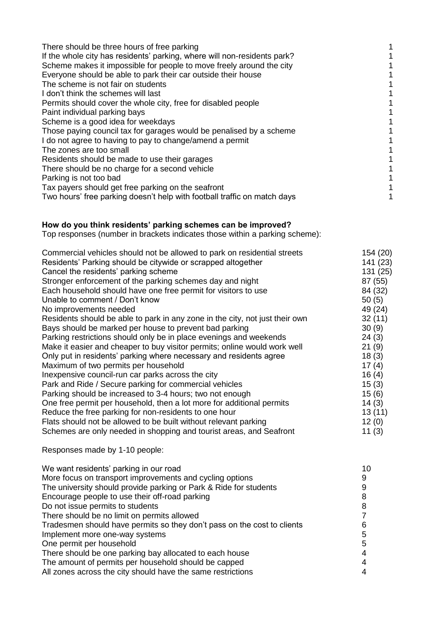| There should be three hours of free parking                              |  |
|--------------------------------------------------------------------------|--|
| If the whole city has residents' parking, where will non-residents park? |  |
| Scheme makes it impossible for people to move freely around the city     |  |
| Everyone should be able to park their car outside their house            |  |
| The scheme is not fair on students                                       |  |
| I don't think the schemes will last                                      |  |
| Permits should cover the whole city, free for disabled people            |  |
| Paint individual parking bays                                            |  |
| Scheme is a good idea for weekdays                                       |  |
| Those paying council tax for garages would be penalised by a scheme      |  |
| I do not agree to having to pay to change/amend a permit                 |  |
| The zones are too small                                                  |  |
| Residents should be made to use their garages                            |  |
| There should be no charge for a second vehicle                           |  |
| Parking is not too bad                                                   |  |
| Tax payers should get free parking on the seafront                       |  |
| Two hours' free parking doesn't help with football traffic on match days |  |

### **How do you think residents' parking schemes can be improved?**

Top responses (number in brackets indicates those within a parking scheme):

| Commercial vehicles should not be allowed to park on residential streets     | 154 (20) |
|------------------------------------------------------------------------------|----------|
| Residents' Parking should be citywide or scrapped altogether                 | 141 (23) |
| Cancel the residents' parking scheme                                         | 131 (25) |
| Stronger enforcement of the parking schemes day and night                    | 87 (55)  |
| Each household should have one free permit for visitors to use               | 84 (32)  |
| Unable to comment / Don't know                                               | 50(5)    |
| No improvements needed                                                       | 49 (24)  |
| Residents should be able to park in any zone in the city, not just their own | 32(11)   |
| Bays should be marked per house to prevent bad parking                       | 30(9)    |
| Parking restrictions should only be in place evenings and weekends           | 24(3)    |
| Make it easier and cheaper to buy visitor permits; online would work well    | 21(9)    |
| Only put in residents' parking where necessary and residents agree           | 18(3)    |
| Maximum of two permits per household                                         | 17(4)    |
| Inexpensive council-run car parks across the city                            | 16(4)    |
| Park and Ride / Secure parking for commercial vehicles                       | 15(3)    |
| Parking should be increased to 3-4 hours; two not enough                     | 15(6)    |
| One free permit per household, then a lot more for additional permits        | 14(3)    |
| Reduce the free parking for non-residents to one hour                        | 13(11)   |
| Flats should not be allowed to be built without relevant parking             | 12(0)    |
| Schemes are only needed in shopping and tourist areas, and Seafront          | 11(3)    |
| Responses made by 1-10 people:                                               |          |

| We want residents' parking in our road                                  | 10 |
|-------------------------------------------------------------------------|----|
| More focus on transport improvements and cycling options                | 9  |
| The university should provide parking or Park & Ride for students       |    |
| Encourage people to use their off-road parking                          | 8  |
| Do not issue permits to students                                        | 8  |
| There should be no limit on permits allowed                             |    |
| Tradesmen should have permits so they don't pass on the cost to clients |    |
| Implement more one-way systems                                          | 5  |
| One permit per household                                                | 5  |
| There should be one parking bay allocated to each house                 |    |
| The amount of permits per household should be capped                    |    |
| All zones across the city should have the same restrictions             |    |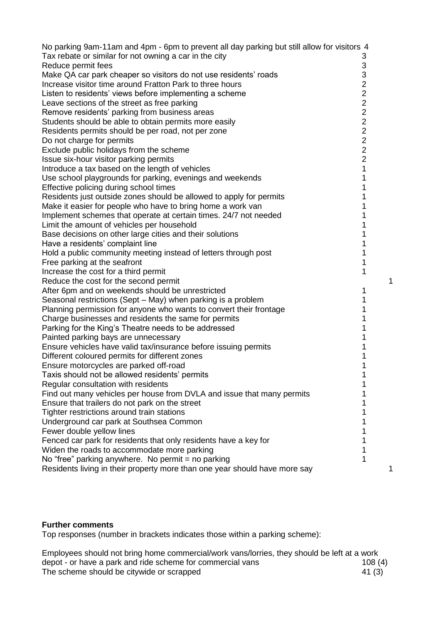| No parking 9am-11am and 4pm - 6pm to prevent all day parking but still allow for visitors 4 |                           |
|---------------------------------------------------------------------------------------------|---------------------------|
| Tax rebate or similar for not owning a car in the city                                      | 3                         |
| Reduce permit fees                                                                          | $\ensuremath{\mathsf{3}}$ |
| Make QA car park cheaper so visitors do not use residents' roads                            | 3                         |
| Increase visitor time around Fratton Park to three hours                                    | $\overline{c}$            |
| Listen to residents' views before implementing a scheme                                     |                           |
| Leave sections of the street as free parking                                                |                           |
| Remove residents' parking from business areas                                               |                           |
| Students should be able to obtain permits more easily                                       |                           |
| Residents permits should be per road, not per zone                                          |                           |
| Do not charge for permits                                                                   | 2222222                   |
| Exclude public holidays from the scheme                                                     |                           |
| Issue six-hour visitor parking permits                                                      |                           |
| Introduce a tax based on the length of vehicles                                             | 1                         |
| Use school playgrounds for parking, evenings and weekends                                   | 1                         |
| Effective policing during school times                                                      | 1                         |
| Residents just outside zones should be allowed to apply for permits                         | 1                         |
| Make it easier for people who have to bring home a work van                                 |                           |
| Implement schemes that operate at certain times. 24/7 not needed                            |                           |
| Limit the amount of vehicles per household                                                  |                           |
| Base decisions on other large cities and their solutions                                    |                           |
| Have a residents' complaint line                                                            |                           |
| Hold a public community meeting instead of letters through post                             |                           |
| Free parking at the seafront                                                                |                           |
| Increase the cost for a third permit                                                        | 1                         |
| Reduce the cost for the second permit                                                       | 1                         |
| After 6pm and on weekends should be unrestricted                                            | 1                         |
| Seasonal restrictions (Sept – May) when parking is a problem                                | 1                         |
| Planning permission for anyone who wants to convert their frontage                          |                           |
| Charge businesses and residents the same for permits                                        |                           |
| Parking for the King's Theatre needs to be addressed                                        |                           |
| Painted parking bays are unnecessary                                                        |                           |
| Ensure vehicles have valid tax/insurance before issuing permits                             |                           |
| Different coloured permits for different zones                                              |                           |
| Ensure motorcycles are parked off-road                                                      | 1                         |
| Taxis should not be allowed residents' permits                                              |                           |
| Regular consultation with residents                                                         |                           |
| Find out many vehicles per house from DVLA and issue that many permits                      |                           |
| Ensure that trailers do not park on the street                                              |                           |
| Tighter restrictions around train stations                                                  |                           |
| Underground car park at Southsea Common                                                     |                           |
| Fewer double yellow lines                                                                   |                           |
| Fenced car park for residents that only residents have a key for                            |                           |
| Widen the roads to accommodate more parking                                                 |                           |
| No "free" parking anywhere. No permit = no parking                                          | 1                         |
| Residents living in their property more than one year should have more say                  | 1                         |
|                                                                                             |                           |

## **Further comments**

Top responses (number in brackets indicates those within a parking scheme):

Employees should not bring home commercial/work vans/lorries, they should be left at a work depot - or have a park and ride scheme for commercial vans 108 (4) The scheme should be citywide or scrapped  $41 (3)^{2}$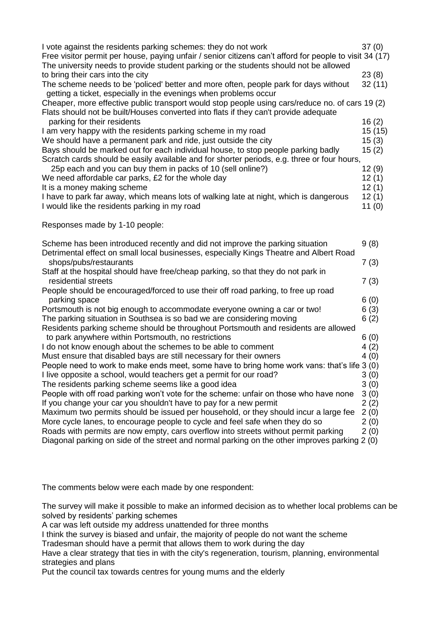| I vote against the residents parking schemes: they do not work                                                                                                                                   | 37(0)   |
|--------------------------------------------------------------------------------------------------------------------------------------------------------------------------------------------------|---------|
| Free visitor permit per house, paying unfair / senior citizens can't afford for people to visit 34 (17)<br>The university needs to provide student parking or the students should not be allowed |         |
| to bring their cars into the city                                                                                                                                                                | 23(8)   |
| The scheme needs to be 'policed' better and more often, people park for days without<br>getting a ticket, especially in the evenings when problems occur                                         | 32(11)  |
| Cheaper, more effective public transport would stop people using cars/reduce no. of cars 19 (2)<br>Flats should not be built/Houses converted into flats if they can't provide adequate          |         |
| parking for their residents                                                                                                                                                                      | 16(2)   |
| I am very happy with the residents parking scheme in my road                                                                                                                                     | 15 (15) |
| We should have a permanent park and ride, just outside the city                                                                                                                                  | 15(3)   |
| Bays should be marked out for each individual house, to stop people parking badly                                                                                                                | 15(2)   |
| Scratch cards should be easily available and for shorter periods, e.g. three or four hours,                                                                                                      |         |
| 25p each and you can buy them in packs of 10 (sell online?)                                                                                                                                      | 12(9)   |
| We need affordable car parks, £2 for the whole day                                                                                                                                               | 12(1)   |
| It is a money making scheme                                                                                                                                                                      | 12(1)   |
| I have to park far away, which means lots of walking late at night, which is dangerous                                                                                                           | 12(1)   |
| I would like the residents parking in my road                                                                                                                                                    | 11(0)   |
| Responses made by 1-10 people:                                                                                                                                                                   |         |
| Scheme has been introduced recently and did not improve the parking situation                                                                                                                    | 9(8)    |
| Detrimental effect on small local businesses, especially Kings Theatre and Albert Road<br>shops/pubs/restaurants                                                                                 | 7(3)    |
| Staff at the hospital should have free/cheap parking, so that they do not park in                                                                                                                |         |
| residential streets                                                                                                                                                                              | 7(3)    |
| People should be encouraged/forced to use their off road parking, to free up road                                                                                                                |         |
| parking space                                                                                                                                                                                    | 6(0)    |
| Portsmouth is not big enough to accommodate everyone owning a car or two!                                                                                                                        | 6(3)    |
| The parking situation in Southsea is so bad we are considering moving                                                                                                                            | 6(2)    |
| Residents parking scheme should be throughout Portsmouth and residents are allowed                                                                                                               |         |
| to park anywhere within Portsmouth, no restrictions                                                                                                                                              | 6(0)    |
| I do not know enough about the schemes to be able to comment                                                                                                                                     | 4(2)    |
| Must ensure that disabled bays are still necessary for their owners                                                                                                                              | 4(0)    |
| People need to work to make ends meet, some have to bring home work vans: that's life 3 (0)                                                                                                      |         |
| I live opposite a school, would teachers get a permit for our road?                                                                                                                              | 3(0)    |
| The residents parking scheme seems like a good idea                                                                                                                                              | 3(0)    |
| People with off road parking won't vote for the scheme: unfair on those who have none                                                                                                            | 3(0)    |
| If you change your car you shouldn't have to pay for a new permit                                                                                                                                | 2(2)    |
| Maximum two permits should be issued per household, or they should incur a large fee                                                                                                             | 2(0)    |
| More cycle lanes, to encourage people to cycle and feel safe when they do so                                                                                                                     | 2(0)    |
| Roads with permits are now empty, cars overflow into streets without permit parking                                                                                                              | 2(0)    |
| Diagonal parking on side of the street and normal parking on the other improves parking 2 (0)                                                                                                    |         |
|                                                                                                                                                                                                  |         |

The comments below were each made by one respondent:

The survey will make it possible to make an informed decision as to whether local problems can be solved by residents' parking schemes

A car was left outside my address unattended for three months

I think the survey is biased and unfair, the majority of people do not want the scheme

Tradesman should have a permit that allows them to work during the day

Have a clear strategy that ties in with the city's regeneration, tourism, planning, environmental strategies and plans

Put the council tax towards centres for young mums and the elderly